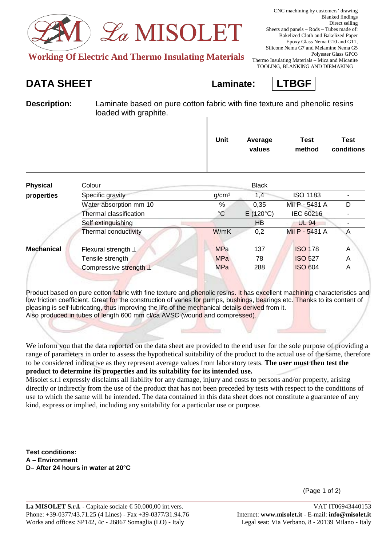

**Working Of Electric And Thermo Insulating Materials** 

TOOLING, BLANKING AND DIEMAKING

## **DATA SHEET Laminate: LTBGF**



**Description:** Laminate based on pure cotton fabric with fine texture and phenolic resins loaded with graphite.

|                   |                           | Unit              | Average<br>values | Test<br>method  | <b>Test</b><br>conditions |
|-------------------|---------------------------|-------------------|-------------------|-----------------|---------------------------|
| <b>Physical</b>   | Colour                    |                   | <b>Black</b>      |                 |                           |
| properties        | Specific gravity          | g/cm <sup>3</sup> | 1,4               | <b>ISO 1183</b> |                           |
|                   | Water absorption mm 10    | $\%$              | 0,35              | Mil P - 5431 A  | D                         |
|                   | Thermal classification    | $\rm ^{\circ}C$   | $E(120^{\circ}C)$ | IEC 60216       |                           |
|                   | Self extinguishing        |                   | <b>HB</b>         | <b>UL 94</b>    |                           |
|                   | Thermal conductivity      | W/mK              | 0,2               | Mil P - 5431 A  | A                         |
| <b>Mechanical</b> | Flexural strength $\perp$ | <b>MPa</b>        | 137               | <b>ISO 178</b>  | A                         |
|                   | Tensile strength          | <b>MPa</b>        | 78                | <b>ISO 527</b>  | A                         |
|                   | Compressive strength L    | MPa               | 288               | <b>ISO 604</b>  | A                         |
|                   |                           |                   |                   |                 |                           |

Product based on pure cotton fabric with fine texture and phenolic resins. It has excellent machining characteristics and low friction coefficient. Great for the construction of vanes for pumps, bushings, bearings etc. Thanks to its content of pleasing is self-lubricating, thus improving the life of the mechanical details derived from it. Also produced in tubes of length 600 mm cl/ca AVSC (wound and compressed).

We inform you that the data reported on the data sheet are provided to the end user for the sole purpose of providing a range of parameters in order to assess the hypothetical suitability of the product to the actual use of the same, therefore to be considered indicative as they represent average values from laboratory tests. **The user must then test the product to determine its properties and its suitability for its intended use.**

Misolet s.r.l expressly disclaims all liability for any damage, injury and costs to persons and/or property, arising directly or indirectly from the use of the product that has not been preceded by tests with respect to the conditions of use to which the same will be intended. The data contained in this data sheet does not constitute a guarantee of any kind, express or implied, including any suitability for a particular use or purpose.

**Test conditions: A – Environment D– After 24 hours in water at 20°C**

(Page 1 of 2)